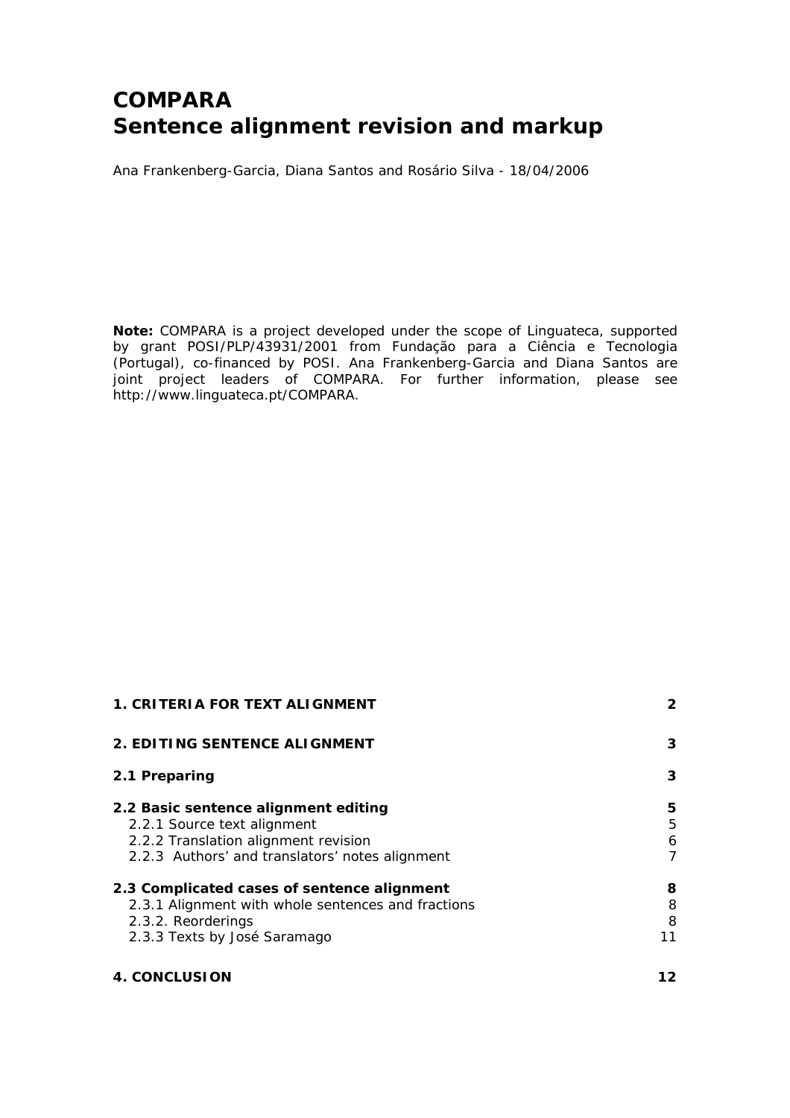# **COMPARA Sentence alignment revision and markup**

Ana Frankenberg-Garcia, Diana Santos and Rosário Silva - 18/04/2006

**Note:** COMPARA is a project developed under the scope of Linguateca, supported by grant POSI/PLP/43931/2001 from Fundação para a Ciência e Tecnologia (Portugal), co-financed by POSI. Ana Frankenberg-Garcia and Diana Santos are joint project leaders of COMPARA. For further information, please see http://www.linguateca.pt/COMPARA.

| <b>1. CRITERIA FOR TEXT ALIGNMENT</b>                                                                                                                          | $\mathbf{2}$      |
|----------------------------------------------------------------------------------------------------------------------------------------------------------------|-------------------|
| 2. EDITING SENTENCE ALIGNMENT                                                                                                                                  | 3                 |
| 2.1 Preparing                                                                                                                                                  | 3                 |
| 2.2 Basic sentence alignment editing<br>2.2.1 Source text alignment<br>2.2.2 Translation alignment revision<br>2.2.3 Authors' and translators' notes alignment | 5<br>5<br>6<br>7  |
| 2.3 Complicated cases of sentence alignment<br>2.3.1 Alignment with whole sentences and fractions<br>2.3.2. Reorderings<br>2.3.3 Texts by José Saramago        | 8<br>8<br>8<br>11 |
| <b>4. CONCLUSION</b>                                                                                                                                           |                   |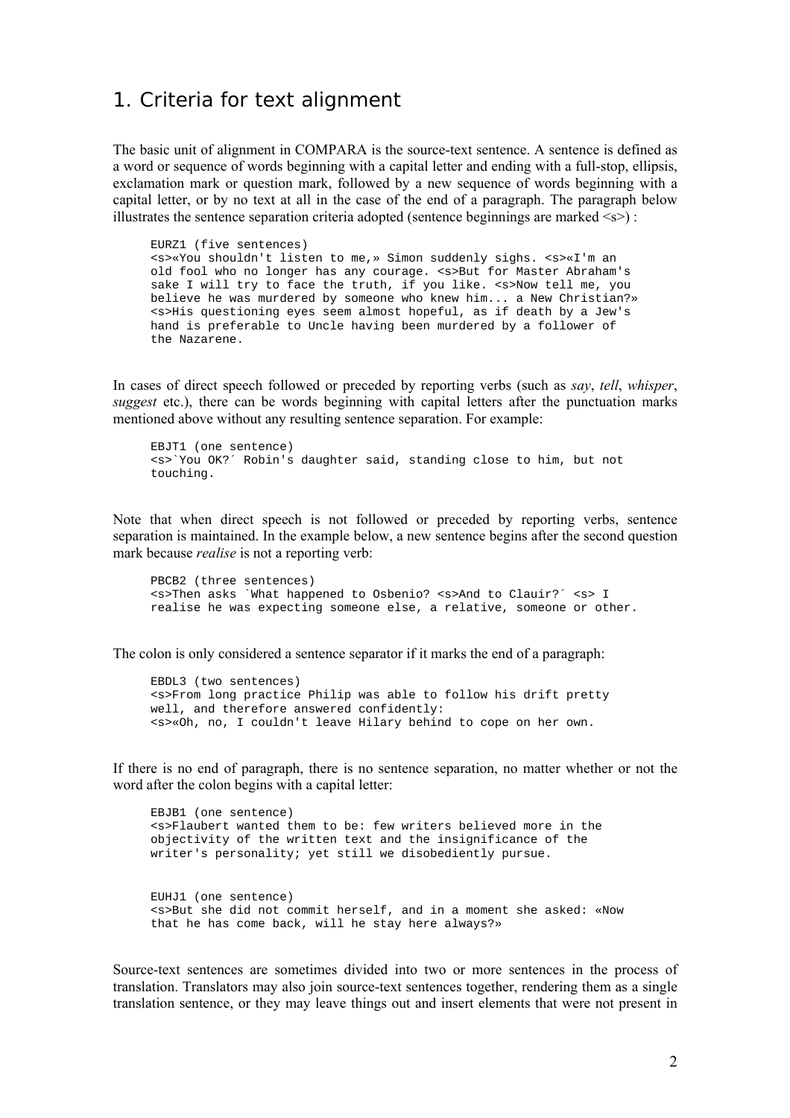# 1. Criteria for text alignment

The basic unit of alignment in COMPARA is the source-text sentence. A sentence is defined as a word or sequence of words beginning with a capital letter and ending with a full-stop, ellipsis, exclamation mark or question mark, followed by a new sequence of words beginning with a capital letter, or by no text at all in the case of the end of a paragraph. The paragraph below illustrates the sentence separation criteria adopted (sentence beginnings are marked  $\langle s \rangle$ ):

EURZ1 (five sentences) <s>«You shouldn't listen to me,» Simon suddenly sighs. <s>«I'm an old fool who no longer has any courage. <s>But for Master Abraham's sake I will try to face the truth, if you like. < s>Now tell me, you believe he was murdered by someone who knew him... a New Christian?» <s>His questioning eyes seem almost hopeful, as if death by a Jew's hand is preferable to Uncle having been murdered by a follower of the Nazarene.

In cases of direct speech followed or preceded by reporting verbs (such as *say*, *tell*, *whisper*, *suggest* etc.), there can be words beginning with capital letters after the punctuation marks mentioned above without any resulting sentence separation. For example:

EBJT1 (one sentence) <s>`You OK?´ Robin's daughter said, standing close to him, but not touching.

Note that when direct speech is not followed or preceded by reporting verbs, sentence separation is maintained. In the example below, a new sentence begins after the second question mark because *realise* is not a reporting verb:

PBCB2 (three sentences) <s>Then asks `What happened to Osbenio? <s>And to Clauir?´ <s> I realise he was expecting someone else, a relative, someone or other.

The colon is only considered a sentence separator if it marks the end of a paragraph:

EBDL3 (two sentences) <s>From long practice Philip was able to follow his drift pretty well, and therefore answered confidently: <s>«Oh, no, I couldn't leave Hilary behind to cope on her own.

If there is no end of paragraph, there is no sentence separation, no matter whether or not the word after the colon begins with a capital letter:

EBJB1 (one sentence) <s>Flaubert wanted them to be: few writers believed more in the objectivity of the written text and the insignificance of the writer's personality; yet still we disobediently pursue. EUHJ1 (one sentence) <s>But she did not commit herself, and in a moment she asked: «Now that he has come back, will he stay here always?»

Source-text sentences are sometimes divided into two or more sentences in the process of translation. Translators may also join source-text sentences together, rendering them as a single translation sentence, or they may leave things out and insert elements that were not present in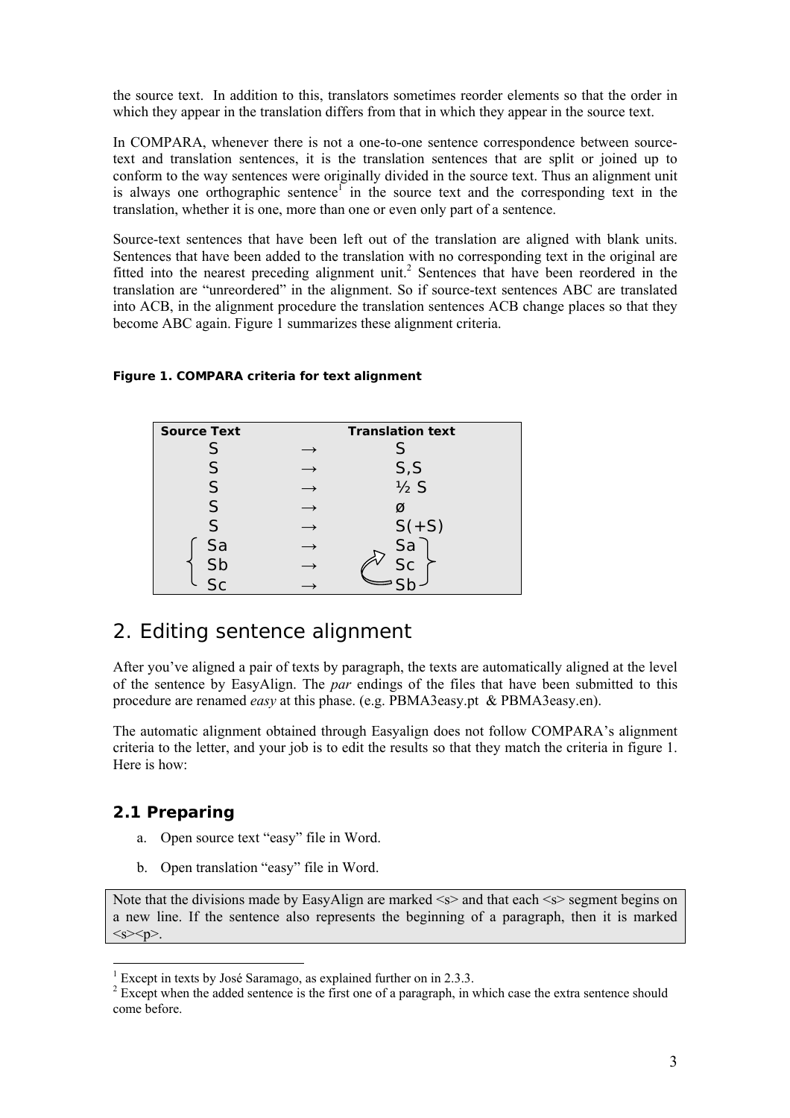the source text. In addition to this, translators sometimes reorder elements so that the order in which they appear in the translation differs from that in which they appear in the source text.

In COMPARA, whenever there is not a one-to-one sentence correspondence between sourcetext and translation sentences, it is the translation sentences that are split or joined up to conform to the way sentences were originally divided in the source text. Thus an alignment unit is always one orthographic sentence<sup> $1$ </sup> in the source text and the corresponding text in the translation, whether it is one, more than one or even only part of a sentence.

Source-text sentences that have been left out of the translation are aligned with blank units. Sentences that have been added to the translation with no corresponding text in the original are fitted into the nearest preceding alignment unit.<sup>2</sup> Sentences that have been reordered in the translation are "unreordered" in the alignment. So if source-text sentences ABC are translated into ACB, in the alignment procedure the translation sentences ACB change places so that they become ABC again. Figure 1 summarizes these alignment criteria.

#### **Figure 1. COMPARA criteria for text alignment**

| <b>Source Text</b> | <b>Translation text</b> |
|--------------------|-------------------------|
| S                  |                         |
| S                  | S, S                    |
| S                  | $\frac{1}{2}S$          |
| S                  | Ø                       |
| S                  | $S(+S)$                 |
| Sa                 | Sa                      |
| Sb                 | $S_{\Gamma}$            |
|                    |                         |

# 2. Editing sentence alignment

After you've aligned a pair of texts by paragraph, the texts are automatically aligned at the level of the sentence by EasyAlign. The *par* endings of the files that have been submitted to this procedure are renamed *easy* at this phase. (e.g. PBMA3easy.pt & PBMA3easy.en).

The automatic alignment obtained through Easyalign does not follow COMPARA's alignment criteria to the letter, and your job is to edit the results so that they match the criteria in figure 1. Here is how:

## **2.1 Preparing**

 $\overline{a}$ 

- a. Open source text "easy" file in Word.
- b. Open translation "easy" file in Word.

Note that the divisions made by EasyAlign are marked  $\leq s$  and that each  $\leq s$  segment begins on a new line. If the sentence also represents the beginning of a paragraph, then it is marked  $<$ s> $<$ p>.

<sup>&</sup>lt;sup>1</sup> Except in texts by José Saramago, as explained further on in 2.3.3.

 $2^{2}$  Except when the added sentence is the first one of a paragraph, in which case the extra sentence should come before.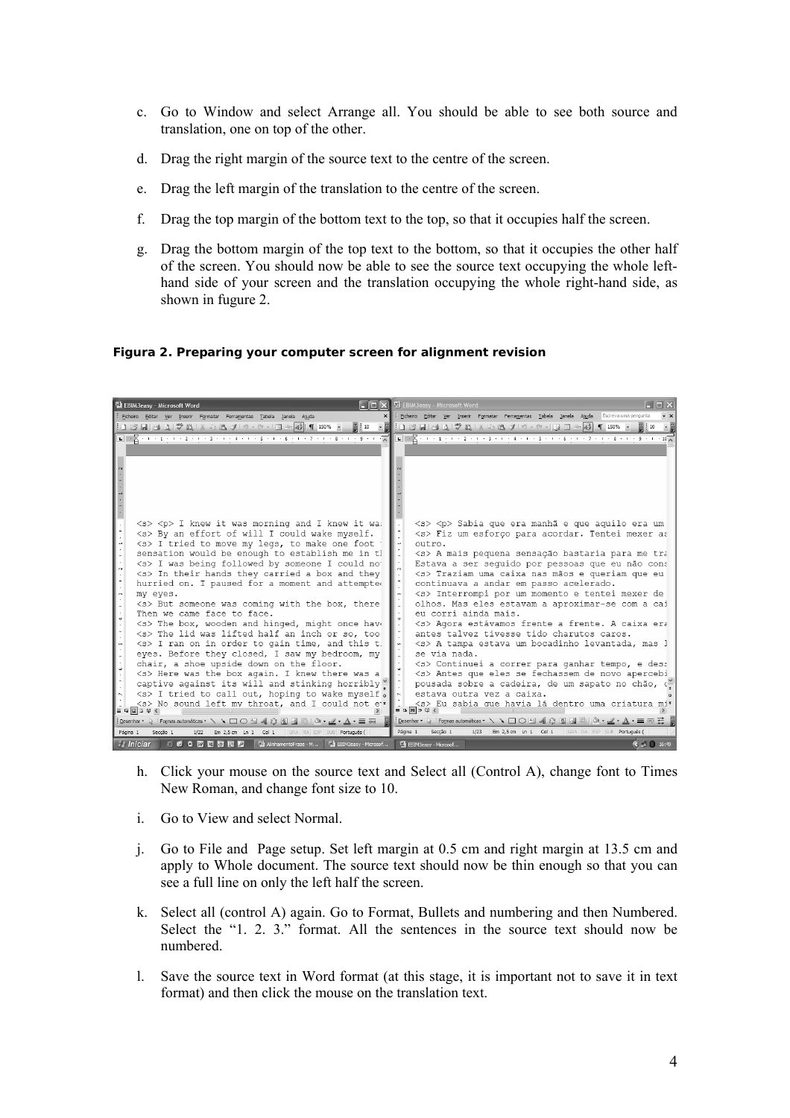- c. Go to Window and select Arrange all. You should be able to see both source and translation, one on top of the other.
- d. Drag the right margin of the source text to the centre of the screen.
- e. Drag the left margin of the translation to the centre of the screen.
- f. Drag the top margin of the bottom text to the top, so that it occupies half the screen.
- g. Drag the bottom margin of the top text to the bottom, so that it occupies the other half of the screen. You should now be able to see the source text occupying the whole lefthand side of your screen and the translation occupying the whole right-hand side, as shown in fugure 2.

**Figura 2. Preparing your computer screen for alignment revision** 

| <sup>1</sup> EBIM3easy - Microsoft Word                                                                              | EBIM3easy - Microsoft Word<br>$\blacksquare$ $\blacksquare$ $\blacksquare$ $\times$                                                                                                                                                                                                                                                                        |
|----------------------------------------------------------------------------------------------------------------------|------------------------------------------------------------------------------------------------------------------------------------------------------------------------------------------------------------------------------------------------------------------------------------------------------------------------------------------------------------|
| Ejcheiro Editar Ver Inserir Formatar Ferramentas Tabela Janela Ajuda                                                 | X Ficheiro Editar Ver Inserir Formatar Ferramentas Tabela Janela Ajuda Escreva uma pergunta                                                                                                                                                                                                                                                                |
| :1 3 日  台 Q    ツ 段   メ 4 出 プ   ワ・セ・   田 子 43   1   150% ・                                                            |                                                                                                                                                                                                                                                                                                                                                            |
|                                                                                                                      | $\boxed{1\cdot 2\cdot 1\cdot 1\cdot 1\cdot 2\cdot 1\cdot 3\cdot 1\cdot 4\cdot 1\cdot 5\cdot 1\cdot 6\cdot 1\cdot 7\cdot 1\cdot 8\cdot 1\cdot 9\cdot 1\cdot 8\cdot 1\cdot 9\cdot 1}} \boxed{1\cdot 2\cdot 1\cdot 2\cdot 1\cdot 2\cdot 1\cdot 3\cdot 1\cdot 4\cdot 1\cdot 5\cdot 1\cdot 6\cdot 1\cdot 7\cdot 1\cdot 8\cdot 1\cdot 9\cdot 1\cdot 10\cdot 1}}$ |
|                                                                                                                      |                                                                                                                                                                                                                                                                                                                                                            |
|                                                                                                                      |                                                                                                                                                                                                                                                                                                                                                            |
|                                                                                                                      |                                                                                                                                                                                                                                                                                                                                                            |
|                                                                                                                      |                                                                                                                                                                                                                                                                                                                                                            |
|                                                                                                                      |                                                                                                                                                                                                                                                                                                                                                            |
|                                                                                                                      |                                                                                                                                                                                                                                                                                                                                                            |
|                                                                                                                      |                                                                                                                                                                                                                                                                                                                                                            |
| <s> <p> I knew it was morning and I knew it wa:</p></s>                                                              | <s> <p> Sabia que era manhã e que aquilo era um</p></s>                                                                                                                                                                                                                                                                                                    |
| <s> By an effort of will I could wake myself.</s>                                                                    | <s> Fiz um esforço para acordar. Tentei mexer as</s>                                                                                                                                                                                                                                                                                                       |
| <s> I tried to move my legs, to make one foot</s>                                                                    | outro.                                                                                                                                                                                                                                                                                                                                                     |
| sensation would be enough to establish me in tl                                                                      | <s> A mais pequena sensação bastaria para me tra</s>                                                                                                                                                                                                                                                                                                       |
| <s> I was being followed by someone I could no</s>                                                                   | Estava a ser sequido por pessoas que eu não cons                                                                                                                                                                                                                                                                                                           |
| <s> In their hands they carried a box and they</s>                                                                   | <s> Traziam uma caixa nas mãos e queriam que eu</s>                                                                                                                                                                                                                                                                                                        |
| hurried on. I paused for a moment and attempted                                                                      | continuava a andar em passo acelerado.                                                                                                                                                                                                                                                                                                                     |
| my eyes.<br><s> But someone was coming with the box, there</s>                                                       | <s> Interrompi por um momento e tentei mexer de<br/>olhos. Mas eles estavam a aproximar-se com a cai</s>                                                                                                                                                                                                                                                   |
| 1 - 1 - 4 - 1 - 3 - 1 -<br>Then we came face to face.                                                                | eu corri ainda mais.                                                                                                                                                                                                                                                                                                                                       |
| <s> The box, wooden and hinged, might once have</s>                                                                  | <s> Agora estávamos frente a frente. A caixa era</s>                                                                                                                                                                                                                                                                                                       |
| <s> The lid was lifted half an inch or so, too</s>                                                                   | antes talvez tivesse tido charutos caros.                                                                                                                                                                                                                                                                                                                  |
| <s> I ran on in order to gain time, and this t</s>                                                                   | <s> A tampa estava um bocadinho levantada, mas l</s>                                                                                                                                                                                                                                                                                                       |
| eyes. Before they closed, I saw my bedroom, my                                                                       | se via nada.                                                                                                                                                                                                                                                                                                                                               |
| I.<br>chair, a shoe upside down on the floor.                                                                        | <s> Continuei a correr para ganhar tempo, e dess</s>                                                                                                                                                                                                                                                                                                       |
| <s> Here was the box again. I knew there was a</s>                                                                   | <s> Antes que eles se fechassem de novo apercebi</s>                                                                                                                                                                                                                                                                                                       |
| captive against its will and stinking horribly <sup>1</sup>                                                          | pousada sobre a cadeira, de um sapato no chão, c                                                                                                                                                                                                                                                                                                           |
| $\langle s \rangle$ I tried to call out, hoping to wake myself.                                                      | estava outra vez a caixa.                                                                                                                                                                                                                                                                                                                                  |
| <s> No sound left my throat, and I could not e'*<br/><math>\equiv</math> 0 <math>\Box</math> 0 <math>\leq</math></s> | <s> Eu sabia que havia lá dentro uma criatura mi*<br/><math>\equiv</math> 5 <math>\boxed{0}</math> 3 <math>\%</math></s>                                                                                                                                                                                                                                   |
| : Desenhar →   Formas automáticas ▼ \ ヽ □ ○ □ 4  ☆ B 図 同   ふ - ⊿ - ▲ - 三 丽 - 冒                                       | : Desenhar ▼ Q   Formas automáticas ▼ \ \ 囗 〇 個 ◀ ☆ 図 図 同 │ ふ - ⊿ - A - 三         三                                                                                                                                                                                                                                                                        |
| 1/22 Em 2,5 cm Ln 1 Col 1 GRA RA EXP SUB Português (<br>Seccão 1<br>Página 1                                         | Em 2,5 cm Ln 1 Col 1 GRA RA EXP SUB Português (<br>Página 1<br>Seccão 1<br>1/23                                                                                                                                                                                                                                                                            |
| ○ ◎ ● 四 図 回 回 2   画 AlinhamentoFrase - M   画 EBIM3easy - Microsof<br><b><i>H. Iniciar</i></b>                        | EBIM3easy - Microsof<br>$\left( \begin{array}{c c} 1 & 1 & 16 \\ 1 & 16 & 19 \\ 1 & 16 & 19 \\ 1 & 16 & 19 \\ 1 & 16 & 19 \\ 1 & 16 & 19 \\ 1 & 16 & 19 & 10 \\ 10 & 10 & 10 & 10 \\ 10 & 10 & 10 & 10 \\ 10 & 10 & 10 & 10 \\ 10 & 10 & 10 & 10 & 10 \\ 10 & 10 & 10 & 10 & 10 \\ 11 & 10 & 10 & 10 & 10 \\ 12 & 10 & 10 & 10 & 10 &$                     |

- h. Click your mouse on the source text and Select all (Control A), change font to Times New Roman, and change font size to 10.
- i. Go to View and select Normal.
- j. Go to File and Page setup. Set left margin at 0.5 cm and right margin at 13.5 cm and apply to Whole document. The source text should now be thin enough so that you can see a full line on only the left half the screen.
- k. Select all (control A) again. Go to Format, Bullets and numbering and then Numbered. Select the "1. 2. 3." format. All the sentences in the source text should now be numbered.
- l. Save the source text in Word format (at this stage, it is important not to save it in text format) and then click the mouse on the translation text.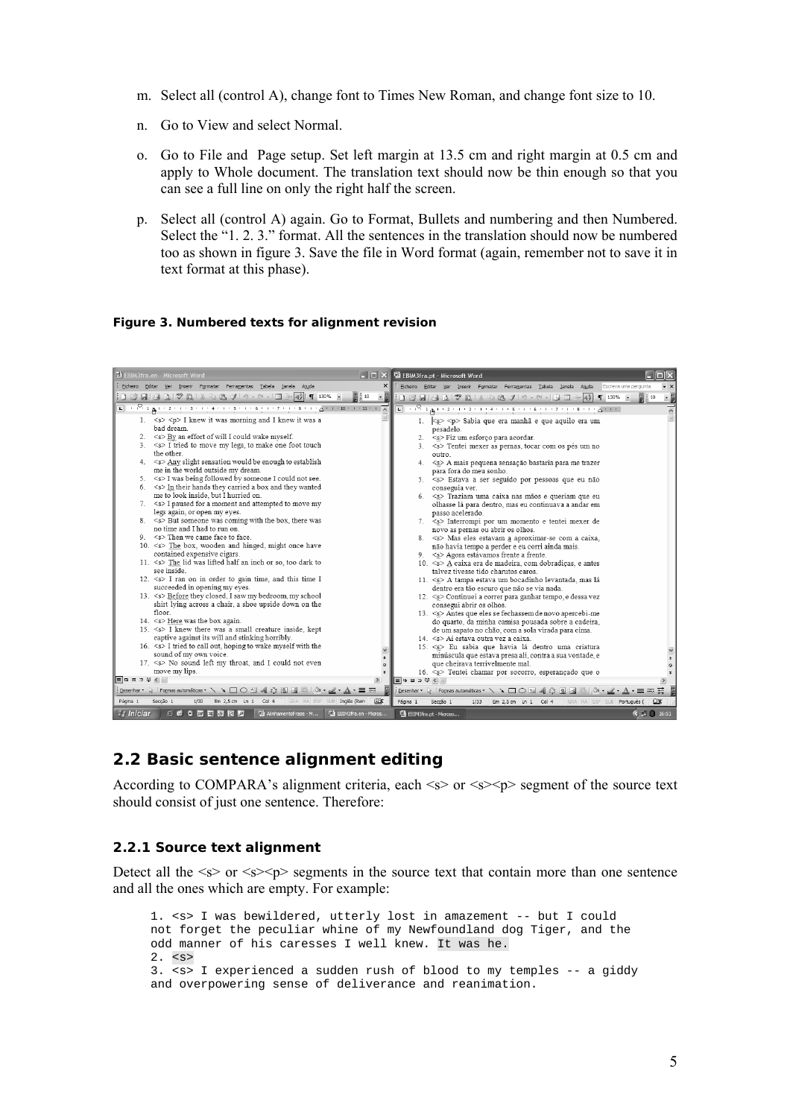- m. Select all (control A), change font to Times New Roman, and change font size to 10.
- n. Go to View and select Normal.
- o. Go to File and Page setup. Set left margin at 13.5 cm and right margin at 0.5 cm and apply to Whole document. The translation text should now be thin enough so that you can see a full line on only the right half the screen.
- p. Select all (control A) again. Go to Format, Bullets and numbering and then Numbered. Select the "1. 2. 3." format. All the sentences in the translation should now be numbered too as shown in figure 3. Save the file in Word format (again, remember not to save it in text format at this phase).

#### **Figure 3. Numbered texts for alignment revision**



### **2.2 Basic sentence alignment editing**

According to COMPARA's alignment criteria, each  $\langle s \rangle$  or  $\langle s \rangle$  segment of the source text should consist of just one sentence. Therefore:

#### *2.2.1 Source text alignment*

Detect all the  $\langle s \rangle$  or  $\langle s \rangle$  segments in the source text that contain more than one sentence and all the ones which are empty. For example:

```
1. <s> I was bewildered, utterly lost in amazement -- but I could 
not forget the peculiar whine of my Newfoundland dog Tiger, and the 
odd manner of his caresses I well knew. It was he. 
2. <s> 
3. <s> I experienced a sudden rush of blood to my temples -- a giddy 
and overpowering sense of deliverance and reanimation.
```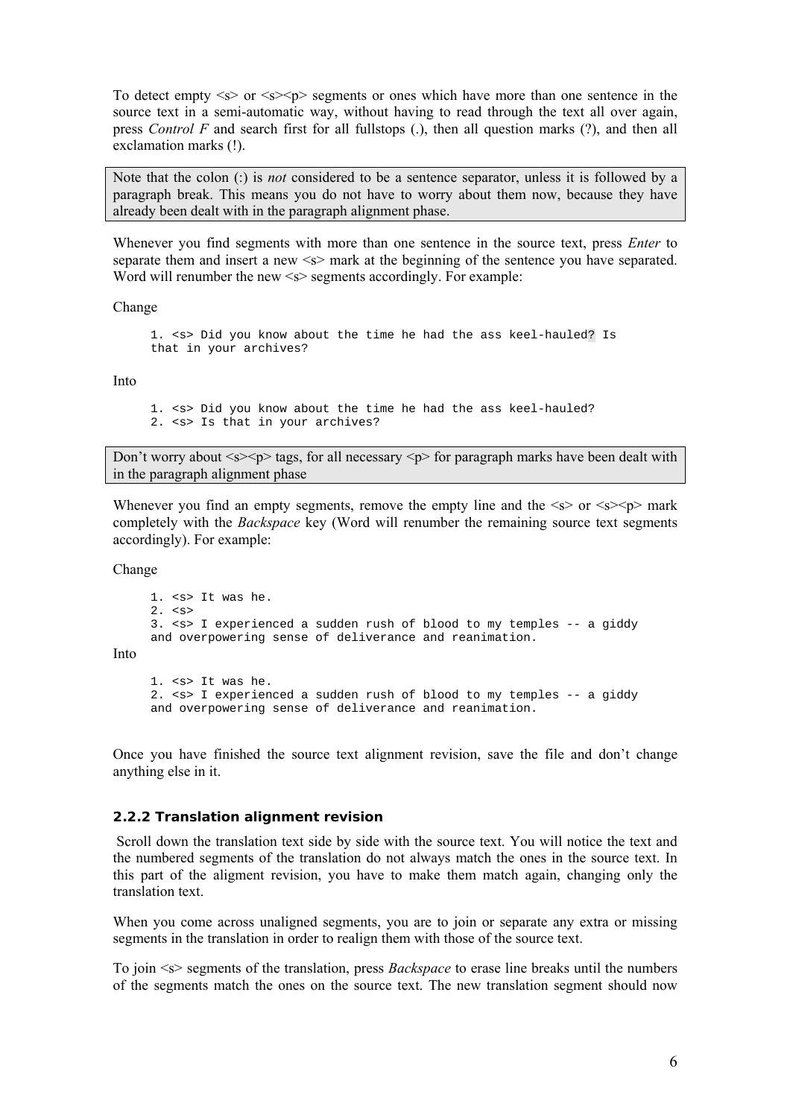To detect empty  $\langle s \rangle$  or  $\langle s \rangle$  segments or ones which have more than one sentence in the source text in a semi-automatic way, without having to read through the text all over again, press *Control F* and search first for all fullstops (.), then all question marks (?), and then all exclamation marks (!).

Note that the colon (:) is *not* considered to be a sentence separator, unless it is followed by a paragraph break. This means you do not have to worry about them now, because they have already been dealt with in the paragraph alignment phase.

Whenever you find segments with more than one sentence in the source text, press *Enter* to separate them and insert a new  $\leq$  mark at the beginning of the sentence you have separated. Word will renumber the new  $\leq s$  segments accordingly. For example:

#### Change

1. <s> Did you know about the time he had the ass keel-hauled? Is that in your archives?

Into

```
1. <s> Did you know about the time he had the ass keel-hauled? 
2. <s> Is that in your archives?
```
Don't worry about  $\langle s \rangle \langle p \rangle$  tags, for all necessary  $\langle p \rangle$  for paragraph marks have been dealt with in the paragraph alignment phase

Whenever you find an empty segments, remove the empty line and the  $\langle s \rangle$  or  $\langle s \rangle$  mark completely with the *Backspace* key (Word will renumber the remaining source text segments accordingly). For example:

Change

Into

```
1. <s> It was he. 
2. \leqs>
3. <s> I experienced a sudden rush of blood to my temples -- a giddy 
and overpowering sense of deliverance and reanimation. 
1. <s> It was he. 
2. <s> I experienced a sudden rush of blood to my temples -- a giddy 
and overpowering sense of deliverance and reanimation.
```
Once you have finished the source text alignment revision, save the file and don't change anything else in it.

#### *2.2.2 Translation alignment revision*

 Scroll down the translation text side by side with the source text. You will notice the text and the numbered segments of the translation do not always match the ones in the source text. In this part of the aligment revision, you have to make them match again, changing only the translation text.

When you come across unaligned segments, you are to join or separate any extra or missing segments in the translation in order to realign them with those of the source text.

To join <s> segments of the translation, press *Backspace* to erase line breaks until the numbers of the segments match the ones on the source text. The new translation segment should now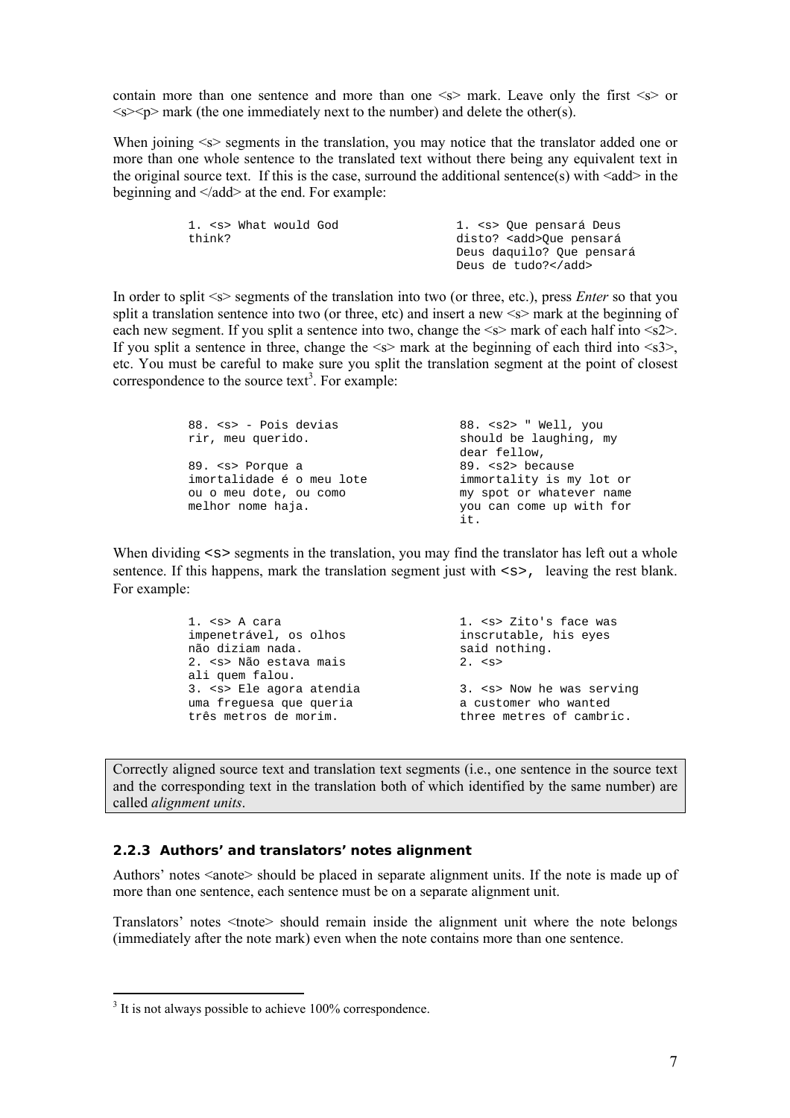contain more than one sentence and more than one  $\leq s$  mark. Leave only the first  $\leq s$  or  $\leq s \leq p$  mark (the one immediately next to the number) and delete the other(s).

When joining  $\leq s$  segments in the translation, you may notice that the translator added one or more than one whole sentence to the translated text without there being any equivalent text in the original source text. If this is the case, surround the additional sentence(s) with  $\leq$  add $\geq$  in the beginning and  $\langle \text{add} \rangle$  at the end. For example:

| 1. <s> What would God</s> | 1. <s> Oue pensará Deus</s>   |
|---------------------------|-------------------------------|
| think?                    | disto? <add>Oue pensará</add> |
|                           | Deus daquilo? Que pensará     |
|                           | Deus de tudo?                 |

In order to split  $\leq$  segments of the translation into two (or three, etc.), press *Enter* so that you split a translation sentence into two (or three, etc) and insert a new  $\leq$  mark at the beginning of each new segment. If you split a sentence into two, change the  $\leq s$  mark of each half into  $\leq s$ 2>. If you split a sentence in three, change the  $\leq s$  mark at the beginning of each third into  $\leq s$ 3>. etc. You must be careful to make sure you split the translation segment at the point of closest correspondence to the source text<sup>3</sup>. For example:

| 88. <s> - Pois devias</s> | $88. < s2>$ " Well, you  |
|---------------------------|--------------------------|
| rir, meu querido.         | should be laughing, my   |
|                           | dear fellow,             |
| 89. < s> Porque a         | 89. <s2> because</s2>    |
| imortalidade é o meu lote | immortality is my lot or |
| ou o meu dote, ou como    | my spot or whatever name |
| melhor nome haja.         | you can come up with for |
|                           | it.                      |

When dividing  $\langle s \rangle$  segments in the translation, you may find the translator has left out a whole sentence. If this happens, mark the translation segment just with  $\langle s \rangle$ , leaving the rest blank. For example:

| 1. <s> A cara</s>            | 1. <s> Zito's face was</s> |
|------------------------------|----------------------------|
| impenetrável, os olhos       | inscrutable, his eyes      |
| não diziam nada.             | said nothing.              |
| 2. <s> Não estava mais</s>   | 2. $< s$                   |
| ali quem falou.              |                            |
| 3. <s> Ele agora atendia</s> | 3. < s> Now he was serving |
| uma frequesa que queria      | a customer who wanted      |
| três metros de morim.        | three metres of cambric.   |

Correctly aligned source text and translation text segments (i.e., one sentence in the source text and the corresponding text in the translation both of which identified by the same number) are called *alignment units*.

### *2.2.3 Authors' and translators' notes alignment*

Authors' notes <anote> should be placed in separate alignment units. If the note is made up of more than one sentence, each sentence must be on a separate alignment unit.

Translators' notes <tnote> should remain inside the alignment unit where the note belongs (immediately after the note mark) even when the note contains more than one sentence.

 $\overline{a}$ 

<sup>&</sup>lt;sup>3</sup> It is not always possible to achieve 100% correspondence.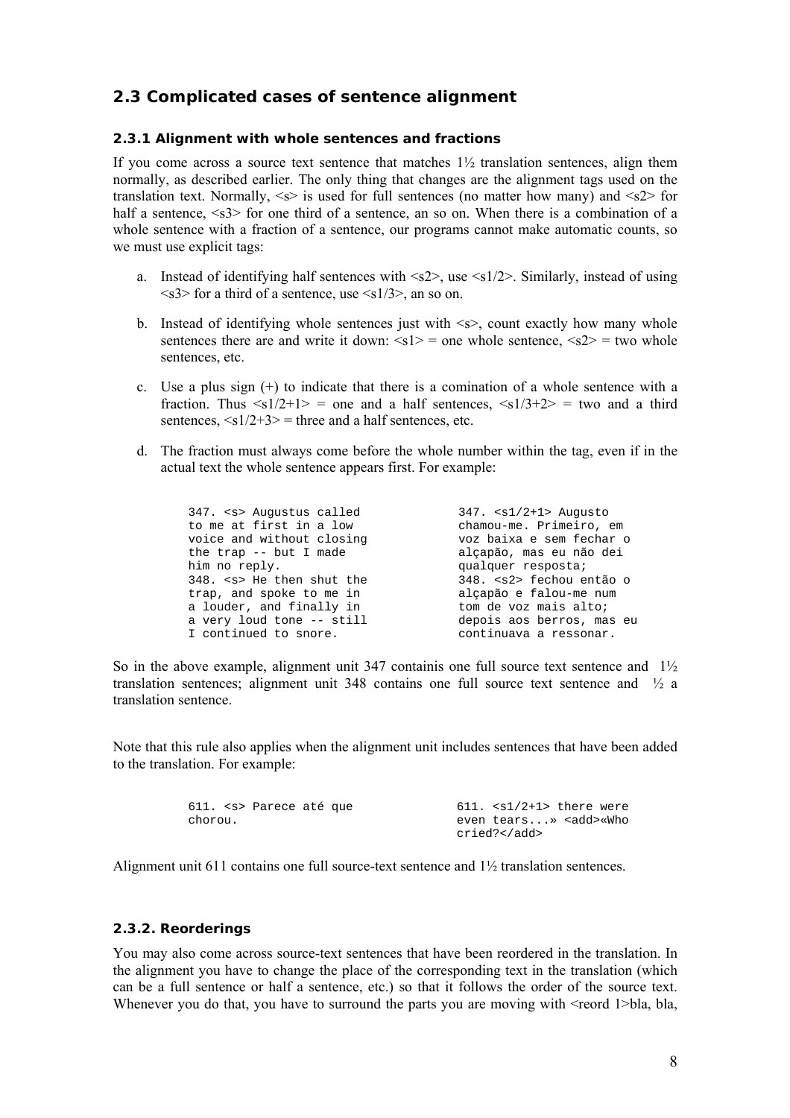# **2.3 Complicated cases of sentence alignment**

#### *2.3.1 Alignment with whole sentences and fractions*

If you come across a source text sentence that matches  $1\frac{1}{2}$  translation sentences, align them normally, as described earlier. The only thing that changes are the alignment tags used on the translation text. Normally,  $\le s$  is used for full sentences (no matter how many) and  $\le s$ 2 for half a sentence,  $\langle s3 \rangle$  for one third of a sentence, an so on. When there is a combination of a whole sentence with a fraction of a sentence, our programs cannot make automatic counts, so we must use explicit tags:

- a. Instead of identifying half sentences with  $\langle s2 \rangle$ , use  $\langle s1/2 \rangle$ . Similarly, instead of using  $\langle$ s3> for a third of a sentence, use  $\langle$ s1/3>, an so on.
- b. Instead of identifying whole sentences just with  $\leq s$ , count exactly how many whole sentences there are and write it down:  $\langle s1 \rangle$  = one whole sentence,  $\langle s2 \rangle$  = two whole sentences, etc.
- c. Use a plus sign  $(+)$  to indicate that there is a comination of a whole sentence with a fraction. Thus  $\langle s_1/2+1 \rangle$  = one and a half sentences,  $\langle s_1/3+2 \rangle$  = two and a third sentences,  $\langle s_1/2+3 \rangle$  = three and a half sentences, etc.
- d. The fraction must always come before the whole number within the tag, even if in the actual text the whole sentence appears first. For example:

| 347. <s> Augustus called</s>  | $347.$ $\leq$ $1/2+1$ Auqusto |
|-------------------------------|-------------------------------|
| to me at first in a low       | chamou-me. Primeiro, em       |
| voice and without closing     | voz baixa e sem fechar o      |
| the $trap$ -- $but I$ made    | alçapão, mas eu não dei       |
| him no reply.                 | qualquer resposta;            |
| 348. <s> He then shut the</s> | 348. <s2> fechou então o</s2> |
| trap, and spoke to me in      | alçapão e falou-me num        |
| a louder, and finally in      | tom de voz mais alto;         |
| a very loud tone -- still     | depois aos berros, mas eu     |
| I continued to snore.         | continuava a ressonar.        |

So in the above example, alignment unit 347 containis one full source text sentence and 1½ translation sentences; alignment unit 348 contains one full source text sentence and ½ a translation sentence.

Note that this rule also applies when the alignment unit includes sentences that have been added to the translation. For example:

|         | 611. <s> Parece até que</s> |  | $611.$ $<$ s1/2+1> there were |  |
|---------|-----------------------------|--|-------------------------------|--|
| chorou. |                             |  | even tears» <add>«Who</add>   |  |
|         |                             |  | cried?                        |  |

Alignment unit 611 contains one full source-text sentence and 1½ translation sentences.

#### *2.3.2. Reorderings*

You may also come across source-text sentences that have been reordered in the translation. In the alignment you have to change the place of the corresponding text in the translation (which can be a full sentence or half a sentence, etc.) so that it follows the order of the source text. Whenever you do that, you have to surround the parts you are moving with  $\leq$ reord 1>bla, bla,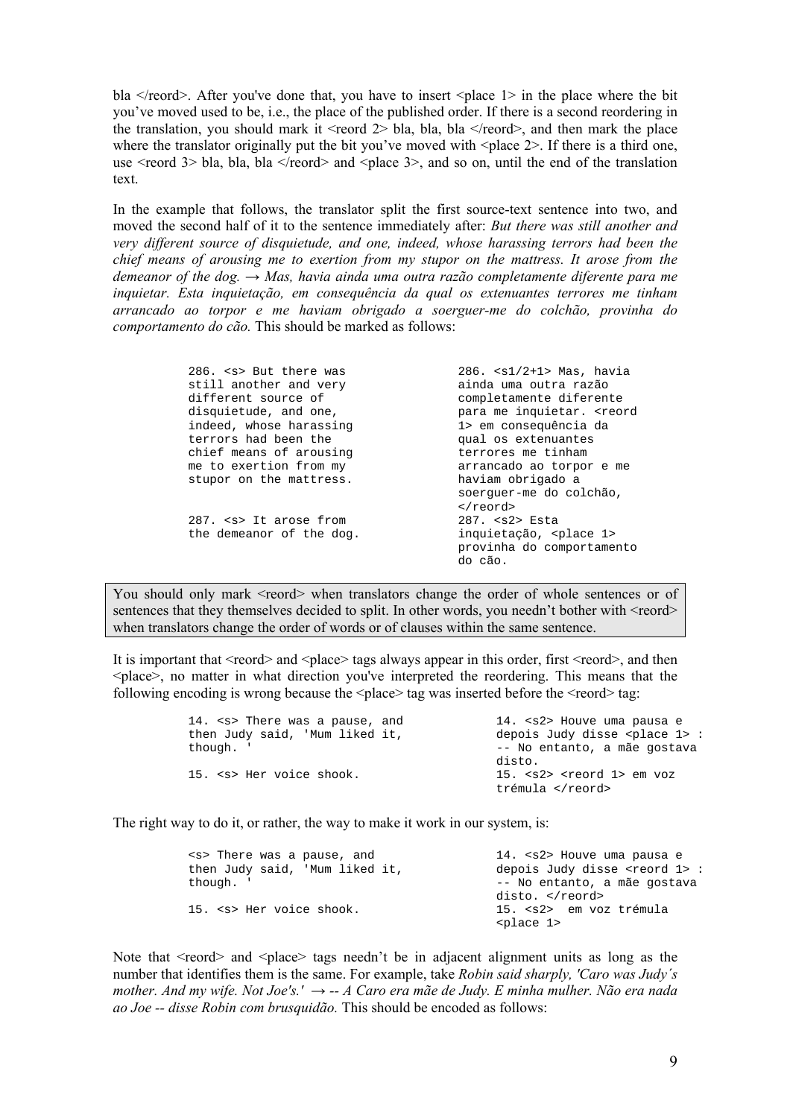bla  $\le$ /reord>. After you've done that, you have to insert  $\le$ place 1> in the place where the bit you've moved used to be, i.e., the place of the published order. If there is a second reordering in the translation, you should mark it <reord  $2$  bla, bla, bla </reord>, and then mark the place where the translator originally put the bit you've moved with  $\langle$ place 2 $\rangle$ . If there is a third one, use  $\le$ reord 3> bla, bla, bla  $\le$ /reord> and  $\le$ place 3>, and so on, until the end of the translation text.

In the example that follows, the translator split the first source-text sentence into two, and moved the second half of it to the sentence immediately after: *But there was still another and very different source of disquietude, and one, indeed, whose harassing terrors had been the chief means of arousing me to exertion from my stupor on the mattress. It arose from the demeanor of the dog. → Mas, havia ainda uma outra razão completamente diferente para me inquietar. Esta inquietação, em consequência da qual os extenuantes terrores me tinham arrancado ao torpor e me haviam obrigado a soerguer-me do colchão, provinha do comportamento do cão.* This should be marked as follows:

| 286, <s> But there was<br/>still another and very</s> | $286.$ $\langle$ s1/2+1> Mas, havia<br>ainda uma outra razão |
|-------------------------------------------------------|--------------------------------------------------------------|
| different source of                                   | completamente diferente                                      |
| disquietude, and one,                                 | para me inquietar. <reord< td=""></reord<>                   |
| indeed, whose harassing                               | 1> em conseguência da                                        |
| terrors had been the                                  | qual os extenuantes                                          |
| chief means of arousing                               | terrores me tinham                                           |
| me to exertion from my                                | arrancado ao torpor e me                                     |
| stupor on the mattress.                               | haviam obrigado a                                            |
|                                                       | soerquer-me do colchão,                                      |
|                                                       | $\langle$ reord>                                             |
| 287. <s> It arose from</s>                            | $287.$ $S2$ Esta                                             |
| the demeanor of the dog.                              | inquietação, <place 1=""></place>                            |
|                                                       | provinha do comportamento                                    |
|                                                       | do cão.                                                      |

You should only mark  $\leq$  reord $\geq$  when translators change the order of whole sentences or of sentences that they themselves decided to split. In other words, you needn't bother with  $\le$ reord $\ge$ when translators change the order of words or of clauses within the same sentence.

It is important that  $\leq$ reord $\geq$  and  $\leq$ place $\geq$  tags always appear in this order, first  $\leq$ reord $\geq$ , and then <place>, no matter in what direction you've interpreted the reordering. This means that the following encoding is wrong because the  $\langle$ place $\rangle$  tag was inserted before the  $\langle$ reord $\rangle$  tag:

| 14. <s> There was a pause, and</s> | 14. <s2> Houve uma pausa e</s2>         |
|------------------------------------|-----------------------------------------|
| then Judy said, 'Mum liked it,     | depois Judy disse <place 1="">:</place> |
| though. '                          | -- No entanto, a mãe gostava            |
|                                    | disto.                                  |
| 15. <s> Her voice shook.</s>       | 15. $<$ s2> $<$ reord 1> em voz         |
|                                    | trémula                                 |

The right way to do it, or rather, the way to make it work in our system, is:

| <s> There was a pause, and<br/>then Judy said, 'Mum liked it,</s> | 14. <s2> Houve uma pausa e<br/>depois Judy disse <reord 1="">:</reord></s2> |
|-------------------------------------------------------------------|-----------------------------------------------------------------------------|
| though. '                                                         | -- No entanto, a mãe gostava                                                |
|                                                                   | disto.                                                                      |
| 15. <s> Her voice shook.</s>                                      | 15. <s2> em voz trémula</s2>                                                |
|                                                                   | <place 1=""></place>                                                        |

Note that  $\le$ reord $\ge$  and  $\le$ place $\ge$  tags needn't be in adjacent alignment units as long as the number that identifies them is the same. For example, take *Robin said sharply, 'Caro was Judy´s mother. And my wife. Not Joe's.'* → *-- A Caro era mãe de Judy. E minha mulher. Não era nada ao Joe -- disse Robin com brusquidão.* This should be encoded as follows: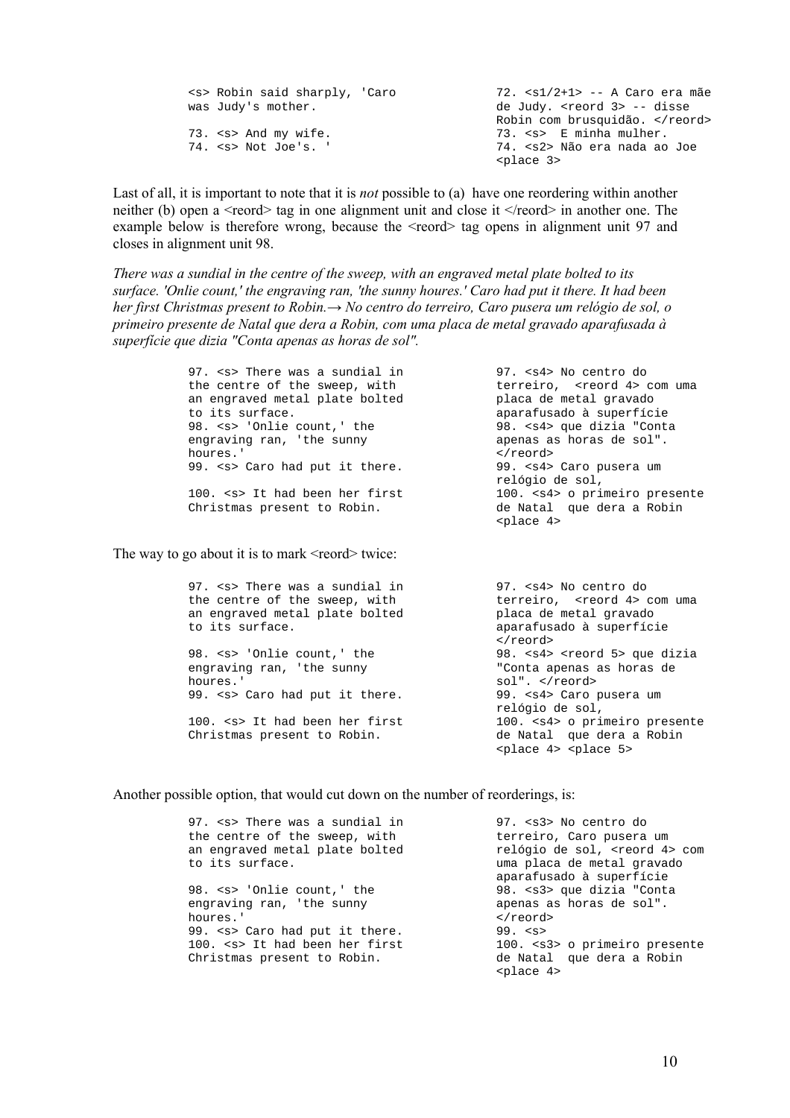| <s> Robin said sharply, 'Caro</s> | 72. $\langle s1/2+1 \rangle$ -- A Caro era mãe |
|-----------------------------------|------------------------------------------------|
| was Judy's mother.                | de Judy. <reord 3=""> -- disse</reord>         |
|                                   | Robin com brusquidão.                          |
| 73. <s> And my wife.</s>          | 73. <s> E minha mulher.</s>                    |
| 74. <s> Not Joe's. '</s>          | 74. <s2> Não era nada ao Joe</s2>              |
|                                   | $place$ 3>                                     |

Last of all, it is important to note that it is *not* possible to (a) have one reordering within another neither (b) open a <reord> tag in one alignment unit and close it </reord> in another one. The example below is therefore wrong, because the  $\leq$ reord $\geq$  tag opens in alignment unit 97 and closes in alignment unit 98.

*There was a sundial in the centre of the sweep, with an engraved metal plate bolted to its surface. 'Onlie count,' the engraving ran, 'the sunny houres.' Caro had put it there. It had been her first Christmas present to Robin.→ No centro do terreiro, Caro pusera um relógio de sol, o primeiro presente de Natal que dera a Robin, com uma placa de metal gravado aparafusada à superfície que dizia "Conta apenas as horas de sol".* 

> 97. <s> There was a sundial in the centre of the sweep, with an engraved metal plate bolted to its surface. 98. <s> 'Onlie count,' the engraving ran, 'the sunny houres.' 99. < s> Caro had put it there. 100. <s> It had been her first Christmas present to Robin.

The way to go about it is to mark  $\le$ reord $\ge$  twice:

97. <s> There was a sundial in the centre of the sweep, with an engraved metal plate bolted to its surface. 98. <s> 'Onlie count,' the engraving ran, 'the sunny

houres.' 99. <s> Caro had put it there.

100. <s> It had been her first Christmas present to Robin.

97. <s4> No centro do terreiro, <reord 4> com uma placa de metal gravado aparafusado à superfície 98. <s4> que dizia "Conta apenas as horas de sol". </reord><br>99. <s4> Caro pusera um relógio de sol, 100. <s4> o primeiro presente de Natal que dera a Robin <place 4>

97. <s4> No centro do terreiro, <reord 4> com uma placa de metal gravado aparafusado à superfície </reord> 98. <s4> <reord 5> que dizia "Conta apenas as horas de sol". </reord><br>99. <s4> Caro pusera um relógio de sol, 100. <s4> o primeiro presente de Natal que dera a Robin <place 4> <place 5>

Another possible option, that would cut down on the number of reorderings, is:

| 97. < s> There was a sundial in<br>the centre of the sweep, with<br>an engraved metal plate bolted<br>to its surface. | 97. <s3> No centro do<br/>terreiro, Caro pusera um<br/>relógio de sol, <reord 4=""> com<br/>uma placa de metal gravado</reord></s3> |
|-----------------------------------------------------------------------------------------------------------------------|-------------------------------------------------------------------------------------------------------------------------------------|
| 98. <s> 'Onlie count,' the<br/>engraving ran, 'the sunny</s>                                                          | aparafusado à superfície<br>98. <s3> que dizia "Conta<br/>apenas as horas de sol".</s3>                                             |
| houres.'                                                                                                              | $\langle$ reord>                                                                                                                    |
| 99. <s> Caro had put it there.<br/>100. <s> It had been her first</s></s>                                             | $99.$ $\leq$ $5$<br>100. <s3> o primeiro presente</s3>                                                                              |
| Christmas present to Robin.                                                                                           | de Natal que dera a Robin<br>$place$ 4>                                                                                             |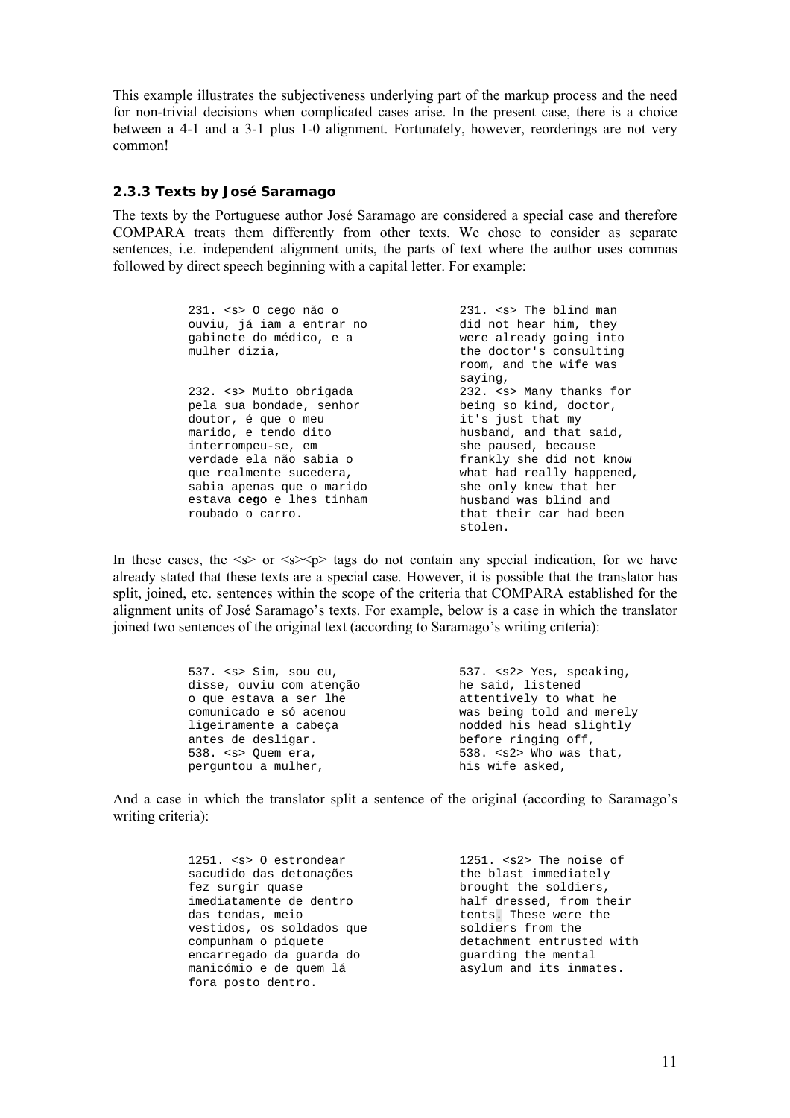This example illustrates the subjectiveness underlying part of the markup process and the need for non-trivial decisions when complicated cases arise. In the present case, there is a choice between a 4-1 and a 3-1 plus 1-0 alignment. Fortunately, however, reorderings are not very common!

### *2.3.3 Texts by José Saramago*

The texts by the Portuguese author José Saramago are considered a special case and therefore COMPARA treats them differently from other texts. We chose to consider as separate sentences, i.e. independent alignment units, the parts of text where the author uses commas followed by direct speech beginning with a capital letter. For example:

| $231.$ <s> 0 cego não o</s> | 231. <s> The blind man</s> |
|-----------------------------|----------------------------|
| ouviu, já iam a entrar no   | did not hear him, they     |
| gabinete do médico, e a     | were already going into    |
| mulher dizia,               | the doctor's consulting    |
|                             | room, and the wife was     |
|                             | saying,                    |
| 232. <s> Muito obrigada</s> | 232. < s> Many thanks for  |
| pela sua bondade, senhor    | being so kind, doctor,     |
| doutor, é que o meu         | it's just that my          |
| marido, e tendo dito        | husband, and that said,    |
| interrompeu-se, em          | she paused, because        |
| verdade ela não sabia o     | frankly she did not know   |
| que realmente sucedera,     | what had really happened,  |
| sabia apenas que o marido   | she only knew that her     |
| estava cego e lhes tinham   | husband was blind and      |
| roubado o carro.            | that their car had been    |
|                             | stolen.                    |

In these cases, the  $\leq s$  or  $\leq s$  tags do not contain any special indication, for we have already stated that these texts are a special case. However, it is possible that the translator has split, joined, etc. sentences within the scope of the criteria that COMPARA established for the alignment units of José Saramago's texts. For example, below is a case in which the translator joined two sentences of the original text (according to Saramago's writing criteria):

| $537.$ <s> Sim, sou eu,</s>                                                                                                                                                                                                                                        | 537. <s2> Yes, speaking,</s2>  |
|--------------------------------------------------------------------------------------------------------------------------------------------------------------------------------------------------------------------------------------------------------------------|--------------------------------|
| disse, ouviu com atenção                                                                                                                                                                                                                                           | he said, listened              |
| o que estava a ser lhe                                                                                                                                                                                                                                             | attentively to what he         |
| comunicado e só acenou                                                                                                                                                                                                                                             | was being told and merely      |
| ligeiramente a cabeça                                                                                                                                                                                                                                              | nodded his head slightly       |
| antes de desligar.                                                                                                                                                                                                                                                 | before ringing off,            |
| $538.$ $\leq$ $\leq$ $\leq$ $\leq$ $\leq$ $\leq$ $\leq$ $\leq$ $\leq$ $\leq$ $\leq$ $\leq$ $\leq$ $\leq$ $\leq$ $\leq$ $\leq$ $\leq$ $\leq$ $\leq$ $\leq$ $\leq$ $\leq$ $\leq$ $\leq$ $\leq$ $\leq$ $\leq$ $\leq$ $\leq$ $\leq$ $\leq$ $\leq$ $\leq$ $\leq$ $\leq$ | $538.$ <s2> Who was that,</s2> |
| perquntou a mulher,                                                                                                                                                                                                                                                | his wife asked,                |

And a case in which the translator split a sentence of the original (according to Saramago's writing criteria):

| 1251. <s> 0 estrondear</s> | $1251.$ <s2> The noise of</s2> |
|----------------------------|--------------------------------|
| sacudido das detonações    | the blast immediately          |
| fez surgir quase           | brought the soldiers,          |
| imediatamente de dentro    | half dressed, from their       |
| das tendas, meio           | tents. These were the          |
| vestidos, os soldados que  | soldiers from the              |
| compunham o piquete        | detachment entrusted with      |
| encarregado da guarda do   | quarding the mental            |
| manicómio e de quem lá     | asylum and its inmates.        |
| fora posto dentro.         |                                |